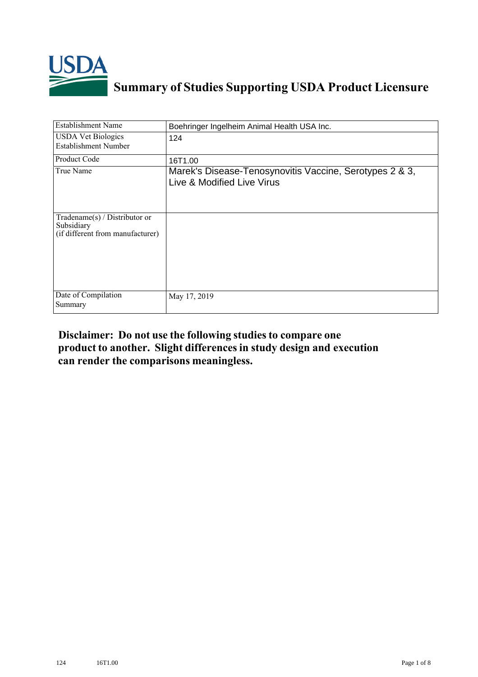

## **Summary of Studies Supporting USDA Product Licensure**

| <b>Establishment Name</b>                                                         | Boehringer Ingelheim Animal Health USA Inc.                                           |
|-----------------------------------------------------------------------------------|---------------------------------------------------------------------------------------|
| <b>USDA</b> Vet Biologics<br><b>Establishment Number</b>                          | 124                                                                                   |
| Product Code                                                                      | 16T1.00                                                                               |
| True Name                                                                         | Marek's Disease-Tenosynovitis Vaccine, Serotypes 2 & 3,<br>Live & Modified Live Virus |
| $Tradename(s) / Distributor$ or<br>Subsidiary<br>(if different from manufacturer) |                                                                                       |
| Date of Compilation<br>Summary                                                    | May 17, 2019                                                                          |

## **Disclaimer: Do not use the following studiesto compare one product to another. Slight differencesin study design and execution can render the comparisons meaningless.**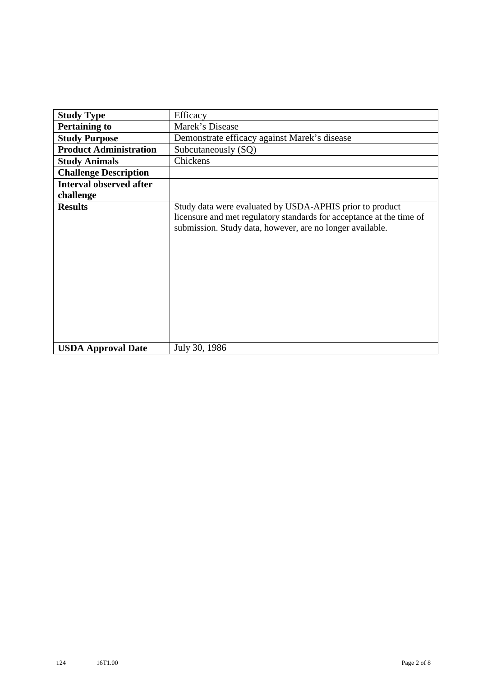| <b>Study Type</b>              | Efficacy                                                                                                                                                                                      |
|--------------------------------|-----------------------------------------------------------------------------------------------------------------------------------------------------------------------------------------------|
| <b>Pertaining to</b>           | Marek's Disease                                                                                                                                                                               |
| <b>Study Purpose</b>           | Demonstrate efficacy against Marek's disease                                                                                                                                                  |
| <b>Product Administration</b>  | Subcutaneously (SQ)                                                                                                                                                                           |
| <b>Study Animals</b>           | Chickens                                                                                                                                                                                      |
| <b>Challenge Description</b>   |                                                                                                                                                                                               |
| <b>Interval observed after</b> |                                                                                                                                                                                               |
| challenge                      |                                                                                                                                                                                               |
| <b>Results</b>                 | Study data were evaluated by USDA-APHIS prior to product<br>licensure and met regulatory standards for acceptance at the time of<br>submission. Study data, however, are no longer available. |
| <b>USDA Approval Date</b>      | July 30, 1986                                                                                                                                                                                 |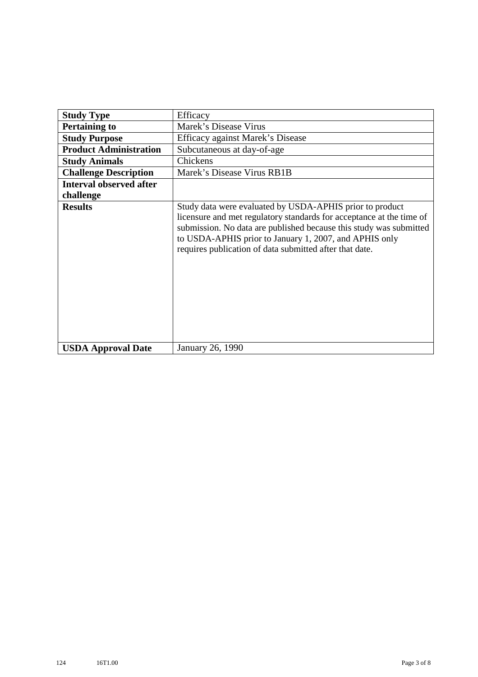| <b>Study Type</b>              | Efficacy                                                                                                                                                                                                                                                                                                                    |
|--------------------------------|-----------------------------------------------------------------------------------------------------------------------------------------------------------------------------------------------------------------------------------------------------------------------------------------------------------------------------|
| <b>Pertaining to</b>           | Marek's Disease Virus                                                                                                                                                                                                                                                                                                       |
| <b>Study Purpose</b>           | Efficacy against Marek's Disease                                                                                                                                                                                                                                                                                            |
| <b>Product Administration</b>  | Subcutaneous at day-of-age                                                                                                                                                                                                                                                                                                  |
| <b>Study Animals</b>           | Chickens                                                                                                                                                                                                                                                                                                                    |
| <b>Challenge Description</b>   | Marek's Disease Virus RB1B                                                                                                                                                                                                                                                                                                  |
| <b>Interval observed after</b> |                                                                                                                                                                                                                                                                                                                             |
| challenge                      |                                                                                                                                                                                                                                                                                                                             |
| <b>Results</b>                 | Study data were evaluated by USDA-APHIS prior to product<br>licensure and met regulatory standards for acceptance at the time of<br>submission. No data are published because this study was submitted<br>to USDA-APHIS prior to January 1, 2007, and APHIS only<br>requires publication of data submitted after that date. |
| <b>USDA Approval Date</b>      | January 26, 1990                                                                                                                                                                                                                                                                                                            |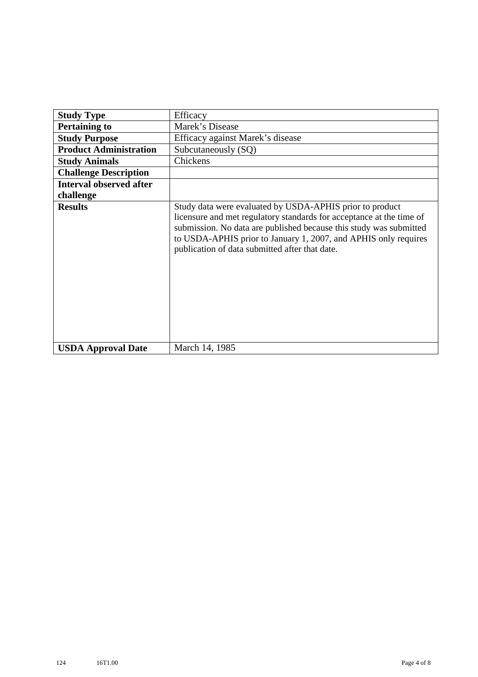| <b>Study Type</b>              | Efficacy                                                                                                                                                                                                                                                                                                                    |
|--------------------------------|-----------------------------------------------------------------------------------------------------------------------------------------------------------------------------------------------------------------------------------------------------------------------------------------------------------------------------|
| <b>Pertaining to</b>           | Marek's Disease                                                                                                                                                                                                                                                                                                             |
| <b>Study Purpose</b>           | Efficacy against Marek's disease                                                                                                                                                                                                                                                                                            |
| <b>Product Administration</b>  | Subcutaneously (SQ)                                                                                                                                                                                                                                                                                                         |
| <b>Study Animals</b>           | Chickens                                                                                                                                                                                                                                                                                                                    |
| <b>Challenge Description</b>   |                                                                                                                                                                                                                                                                                                                             |
| <b>Interval observed after</b> |                                                                                                                                                                                                                                                                                                                             |
| challenge                      |                                                                                                                                                                                                                                                                                                                             |
| <b>Results</b>                 | Study data were evaluated by USDA-APHIS prior to product<br>licensure and met regulatory standards for acceptance at the time of<br>submission. No data are published because this study was submitted<br>to USDA-APHIS prior to January 1, 2007, and APHIS only requires<br>publication of data submitted after that date. |
| <b>USDA Approval Date</b>      | March 14, 1985                                                                                                                                                                                                                                                                                                              |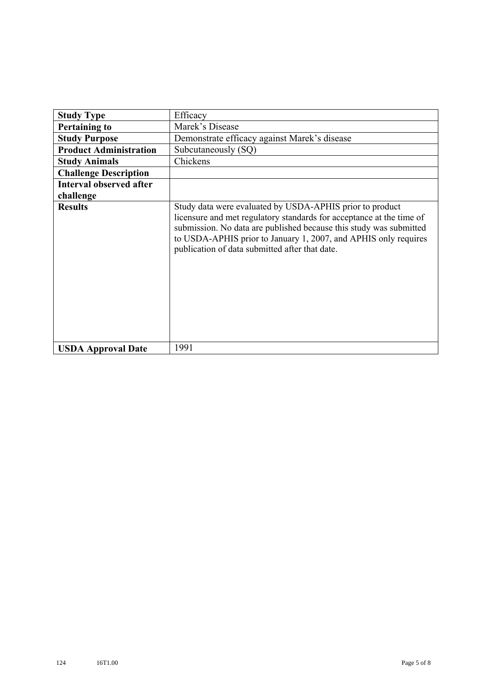| <b>Study Type</b>              | Efficacy                                                                                                                                                                                                                                                                                                                    |
|--------------------------------|-----------------------------------------------------------------------------------------------------------------------------------------------------------------------------------------------------------------------------------------------------------------------------------------------------------------------------|
| <b>Pertaining to</b>           | Marek's Disease                                                                                                                                                                                                                                                                                                             |
| <b>Study Purpose</b>           | Demonstrate efficacy against Marek's disease                                                                                                                                                                                                                                                                                |
| <b>Product Administration</b>  | Subcutaneously (SQ)                                                                                                                                                                                                                                                                                                         |
| <b>Study Animals</b>           | Chickens                                                                                                                                                                                                                                                                                                                    |
| <b>Challenge Description</b>   |                                                                                                                                                                                                                                                                                                                             |
| <b>Interval observed after</b> |                                                                                                                                                                                                                                                                                                                             |
| challenge                      |                                                                                                                                                                                                                                                                                                                             |
| <b>Results</b>                 | Study data were evaluated by USDA-APHIS prior to product<br>licensure and met regulatory standards for acceptance at the time of<br>submission. No data are published because this study was submitted<br>to USDA-APHIS prior to January 1, 2007, and APHIS only requires<br>publication of data submitted after that date. |
| <b>USDA Approval Date</b>      | 1991                                                                                                                                                                                                                                                                                                                        |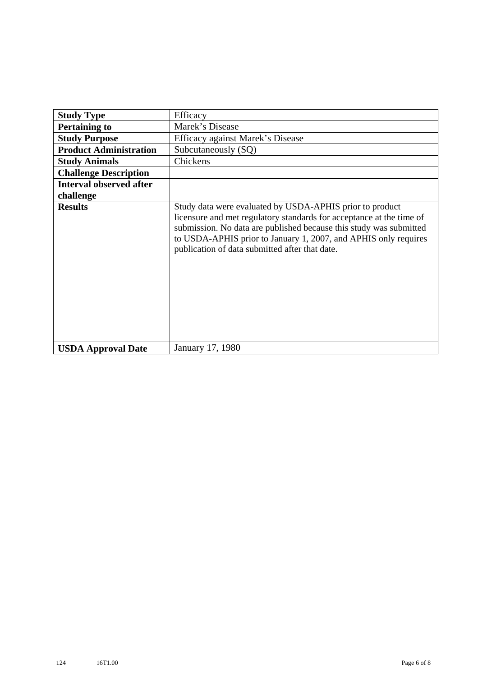| <b>Study Type</b>              | Efficacy                                                                                                                                                                                                                                                                                                                    |
|--------------------------------|-----------------------------------------------------------------------------------------------------------------------------------------------------------------------------------------------------------------------------------------------------------------------------------------------------------------------------|
| <b>Pertaining to</b>           | Marek's Disease                                                                                                                                                                                                                                                                                                             |
| <b>Study Purpose</b>           | Efficacy against Marek's Disease                                                                                                                                                                                                                                                                                            |
| <b>Product Administration</b>  | Subcutaneously (SQ)                                                                                                                                                                                                                                                                                                         |
| <b>Study Animals</b>           | Chickens                                                                                                                                                                                                                                                                                                                    |
| <b>Challenge Description</b>   |                                                                                                                                                                                                                                                                                                                             |
| <b>Interval observed after</b> |                                                                                                                                                                                                                                                                                                                             |
| challenge                      |                                                                                                                                                                                                                                                                                                                             |
| <b>Results</b>                 | Study data were evaluated by USDA-APHIS prior to product<br>licensure and met regulatory standards for acceptance at the time of<br>submission. No data are published because this study was submitted<br>to USDA-APHIS prior to January 1, 2007, and APHIS only requires<br>publication of data submitted after that date. |
| <b>USDA Approval Date</b>      | January 17, 1980                                                                                                                                                                                                                                                                                                            |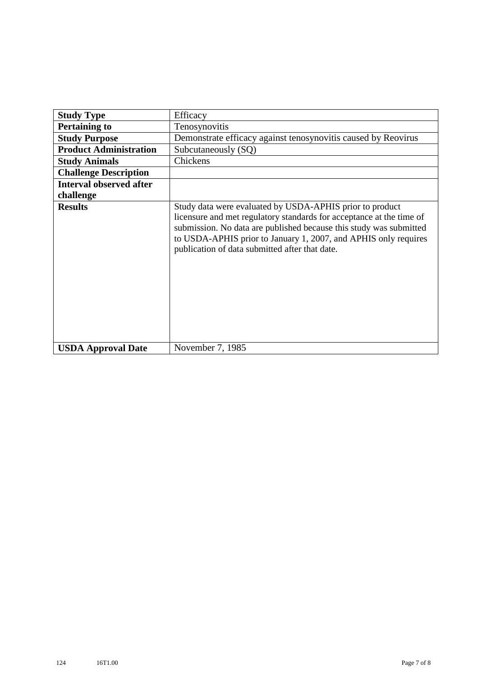| <b>Study Type</b>              | Efficacy                                                                                                                                                                                                                                                                                                                    |
|--------------------------------|-----------------------------------------------------------------------------------------------------------------------------------------------------------------------------------------------------------------------------------------------------------------------------------------------------------------------------|
| <b>Pertaining to</b>           | Tenosynovitis                                                                                                                                                                                                                                                                                                               |
| <b>Study Purpose</b>           | Demonstrate efficacy against tenosynovitis caused by Reovirus                                                                                                                                                                                                                                                               |
| <b>Product Administration</b>  | Subcutaneously (SQ)                                                                                                                                                                                                                                                                                                         |
| <b>Study Animals</b>           | Chickens                                                                                                                                                                                                                                                                                                                    |
| <b>Challenge Description</b>   |                                                                                                                                                                                                                                                                                                                             |
| <b>Interval observed after</b> |                                                                                                                                                                                                                                                                                                                             |
| challenge                      |                                                                                                                                                                                                                                                                                                                             |
| <b>Results</b>                 | Study data were evaluated by USDA-APHIS prior to product<br>licensure and met regulatory standards for acceptance at the time of<br>submission. No data are published because this study was submitted<br>to USDA-APHIS prior to January 1, 2007, and APHIS only requires<br>publication of data submitted after that date. |
| <b>USDA Approval Date</b>      | November 7, 1985                                                                                                                                                                                                                                                                                                            |